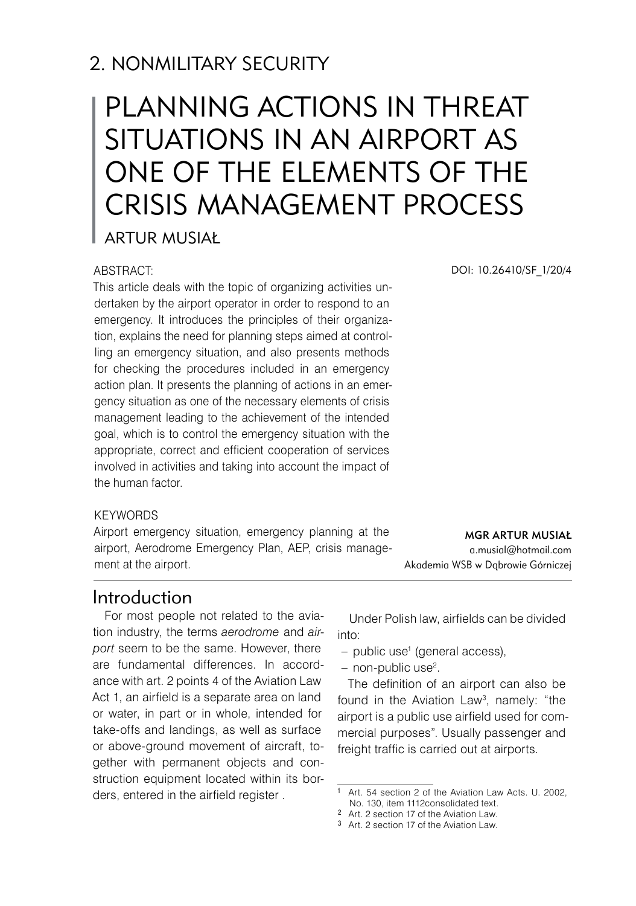# 2. NONMILITARY SECURITY

# PLANNING ACTIONS IN THREAT SITUATIONS IN AN AIRPORT AS ONE OF THE ELEMENTS OF THE CRISIS MANAGEMENT PROCESS

Artur Musiał

#### ABSTRACT:

This article deals with the topic of organizing activities undertaken by the airport operator in order to respond to an emergency. It introduces the principles of their organization, explains the need for planning steps aimed at controlling an emergency situation, and also presents methods for checking the procedures included in an emergency action plan. It presents the planning of actions in an emergency situation as one of the necessary elements of crisis management leading to the achievement of the intended goal, which is to control the emergency situation with the appropriate, correct and efficient cooperation of services involved in activities and taking into account the impact of the human factor.

#### **KEYWORDS**

Airport emergency situation, emergency planning at the airport, Aerodrome Emergency Plan, AEP, crisis management at the airport.

DOI: 10.26410/SF\_1/20/4

mgr Artur Musiał a.musial@hotmail.com

Akademia WSB w Dąbrowie Górniczej

# Introduction

For most people not related to the aviation industry, the terms *aerodrome* and *airport* seem to be the same. However, there are fundamental differences. In accordance with art. 2 points 4 of the Aviation Law Act 1, an airfield is a separate area on land or water, in part or in whole, intended for take-offs and landings, as well as surface or above-ground movement of aircraft, together with permanent objects and construction equipment located within its borders, entered in the airfield register .

Under Polish law, airfields can be divided into:

- public use<sup>1</sup> (general access),
- non-public use<sup>2</sup>.

The definition of an airport can also be found in the Aviation Law , namely: "the airport is a public use airfield used for commercial purposes". Usually passenger and freight traffic is carried out at airports.

Art. 54 section 2 of the Aviation Law Acts. U. 2002, No. 130, item 1112consolidated text.

<sup>&</sup>lt;sup>2</sup> Art. 2 section 17 of the Aviation Law.

<sup>&</sup>lt;sup>3</sup> Art. 2 section 17 of the Aviation Law.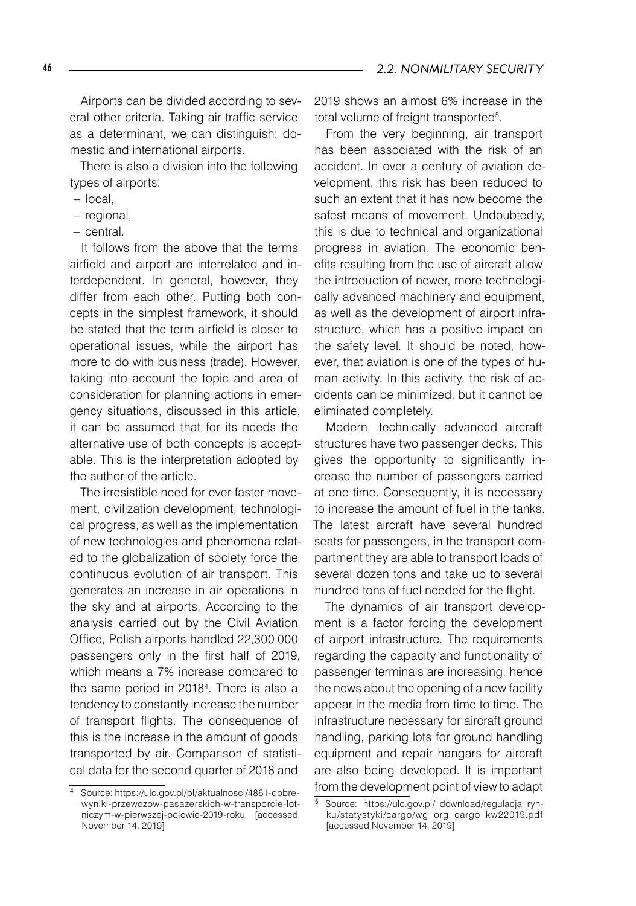Airports can be divided according to several other criteria. Taking air traffic service as a determinant, we can distinguish: domestic and international airports.

There is also a division into the following types of airports:

- local, –
- regional,
- central.

It follows from the above that the terms airfield and airport are interrelated and interdependent. In general, however, they differ from each other. Putting both concepts in the simplest framework, it should be stated that the term airfield is closer to operational issues, while the airport has more to do with business (trade). However, taking into account the topic and area of consideration for planning actions in emergency situations, discussed in this article, it can be assumed that for its needs the alternative use of both concepts is acceptable. This is the interpretation adopted by the author of the article.

The irresistible need for ever faster movement, civilization development, technological progress, as well as the implementation of new technologies and phenomena related to the globalization of society force the continuous evolution of air transport. This generates an increase in air operations in the sky and at airports. According to the analysis carried out by the Civil Aviation Office, Polish airports handled 22,300,000 passengers only in the first half of 2019, which means a 7% increase compared to the same period in 2018<sup>4</sup>. There is also a tendency to constantly increase the number of transport flights. The consequence of this is the increase in the amount of goods transported by air. Comparison of statistical data for the second quarter of 2018 and

2019 shows an almost 6% increase in the total volume of freight transported<sup>5</sup>.

From the very beginning, air transport has been associated with the risk of an accident. In over a century of aviation development, this risk has been reduced to such an extent that it has now become the safest means of movement. Undoubtedly, this is due to technical and organizational progress in aviation. The economic benefits resulting from the use of aircraft allow the introduction of newer, more technologically advanced machinery and equipment, as well as the development of airport infrastructure, which has a positive impact on the safety level. It should be noted, however, that aviation is one of the types of human activity. In this activity, the risk of accidents can be minimized, but it cannot be eliminated completely.

Modern, technically advanced aircraft structures have two passenger decks. This gives the opportunity to significantly increase the number of passengers carried at one time. Consequently, it is necessary to increase the amount of fuel in the tanks. The latest aircraft have several hundred seats for passengers, in the transport compartment they are able to transport loads of several dozen tons and take up to several hundred tons of fuel needed for the flight.

The dynamics of air transport development is a factor forcing the development of airport infrastructure. The requirements regarding the capacity and functionality of passenger terminals are increasing, hence the news about the opening of a new facility appear in the media from time to time. The infrastructure necessary for aircraft ground handling, parking lots for ground handling equipment and repair hangars for aircraft are also being developed. It is important from the development point of view to adapt

 Source: https://ulc.gov.pl/pl/aktualnosci/4861-dobrewyniki-przewozow-pasazerskich-w-transporcie-lotniczym-w-pierwszej-polowie-2019-roku [accessed November 14, 2019]

 Source: https://ulc.gov.pl/\_download/regulacja\_rynku/statystyki/cargo/wg\_org\_cargo\_kw22019.pdf [accessed November 14, 2019]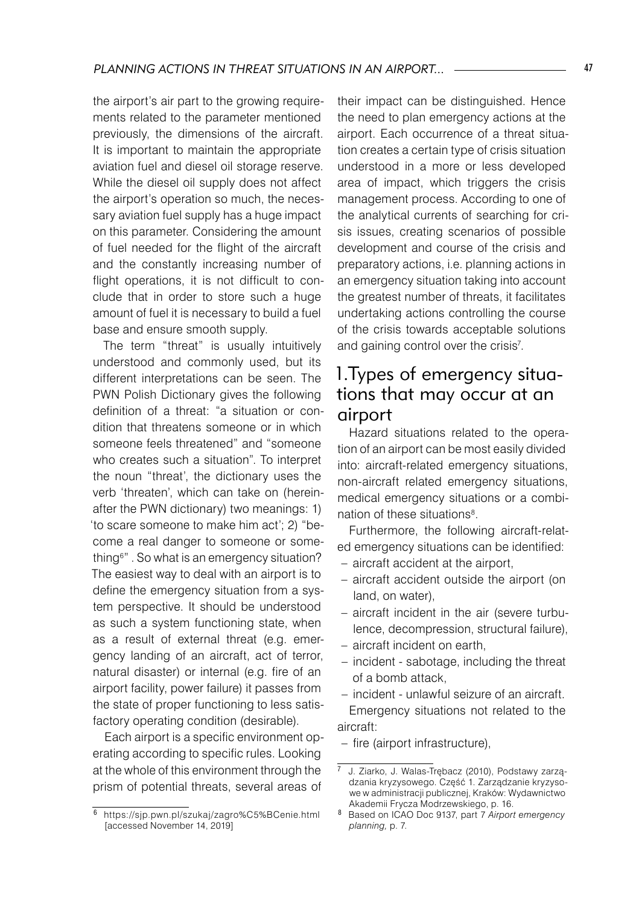the airport's air part to the growing requirements related to the parameter mentioned previously, the dimensions of the aircraft. It is important to maintain the appropriate aviation fuel and diesel oil storage reserve. While the diesel oil supply does not affect the airport's operation so much, the necessary aviation fuel supply has a huge impact on this parameter. Considering the amount of fuel needed for the flight of the aircraft and the constantly increasing number of flight operations, it is not difficult to conclude that in order to store such a huge amount of fuel it is necessary to build a fuel base and ensure smooth supply.

The term "threat" is usually intuitively understood and commonly used, but its different interpretations can be seen. The PWN Polish Dictionary gives the following definition of a threat: "a situation or condition that threatens someone or in which someone feels threatened" and "someone who creates such a situation". To interpret the noun "threat', the dictionary uses the verb 'threaten', which can take on (hereinafter the PWN dictionary) two meanings: 1) 'to scare someone to make him act'; 2) "become a real danger to someone or something<sup>6</sup>". So what is an emergency situation? The easiest way to deal with an airport is to define the emergency situation from a system perspective. It should be understood as such a system functioning state, when as a result of external threat (e.g. emergency landing of an aircraft, act of terror, natural disaster) or internal (e.g. fire of an airport facility, power failure) it passes from the state of proper functioning to less satisfactory operating condition (desirable).

Each airport is a specific environment operating according to specific rules. Looking at the whole of this environment through the prism of potential threats, several areas of

their impact can be distinguished. Hence the need to plan emergency actions at the airport. Each occurrence of a threat situation creates a certain type of crisis situation understood in a more or less developed area of impact, which triggers the crisis management process. According to one of the analytical currents of searching for crisis issues, creating scenarios of possible development and course of the crisis and preparatory actions, i.e. planning actions in an emergency situation taking into account the greatest number of threats, it facilitates undertaking actions controlling the course of the crisis towards acceptable solutions and gaining control over the crisis<sup>7</sup>.

# 1.Types of emergency situations that may occur at an airport

Hazard situations related to the operation of an airport can be most easily divided into: aircraft-related emergency situations, non-aircraft related emergency situations, medical emergency situations or a combination of these situations<sup>8</sup>.

Furthermore, the following aircraft-related emergency situations can be identified:

- aircraft accident at the airport,
- aircraft accident outside the airport (on land, on water),
- aircraft incident in the air (severe turbulence, decompression, structural failure),
- aircraft incident on earth, –
- incident sabotage, including the threat of a bomb attack,
- incident unlawful seizure of an aircraft. Emergency situations not related to the aircraft:
- fire (airport infrastructure),

https://sjp.pwn.pl/szukaj/zagro%C5%BCenie.html [accessed November 14, 2019]

J. Ziarko, J. Walas-Trębacz (2010), Podstawy zarządzania kryzysowego. Część 1. Zarządzanie kryzysowe w administracji publicznej, Kraków: Wydawnictwo Akademii Frycza Modrzewskiego, p. 16.

 Based on ICAO Doc 9137, part 7 *Airport emergency planning,* p. 7.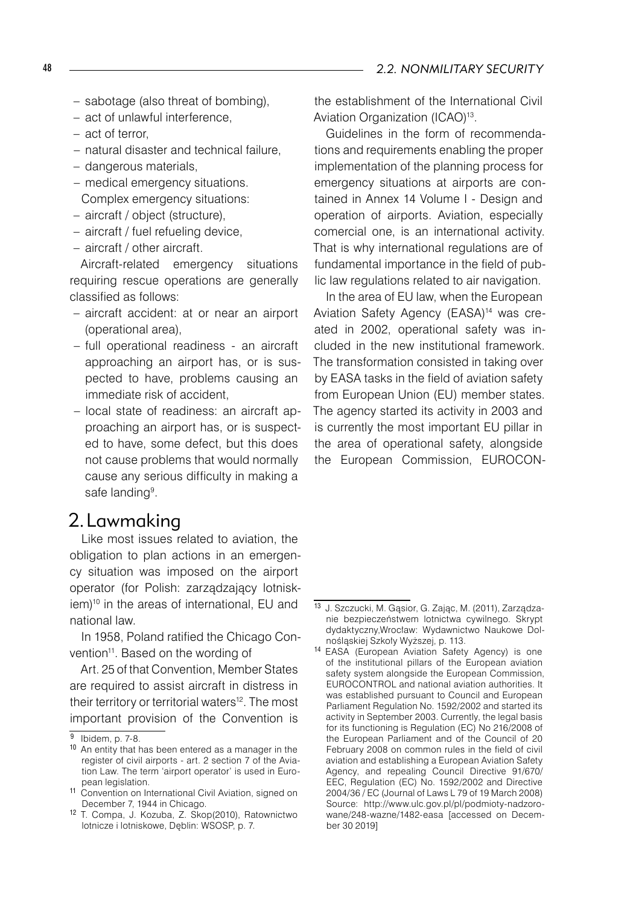- sabotage (also threat of bombing),
- act of unlawful interference, –
- act of terror,
- natural disaster and technical failure, –
- dangerous materials,
- medical emergency situations.
- Complex emergency situations:
- aircraft / object (structure), –
- aircraft / fuel refueling device, –
- aircraft / other aircraft. –

Aircraft-related emergency situations requiring rescue operations are generally classified as follows:

- aircraft accident: at or near an airport (operational area),
- full operational readiness an aircraft approaching an airport has, or is suspected to have, problems causing an immediate risk of accident,
- local state of readiness: an aircraft approaching an airport has, or is suspected to have, some defect, but this does not cause problems that would normally cause any serious difficulty in making a safe landing<sup>9</sup>.

# 2.Lawmaking

Like most issues related to aviation, the obligation to plan actions in an emergency situation was imposed on the airport operator (for Polish: zarządzający lotniskiem)<sup>10</sup> in the areas of international, EU and national law.

In 1958, Poland ratified the Chicago Convention<sup>11</sup>. Based on the wording of

Art. 25 of that Convention, Member States are required to assist aircraft in distress in their territory or territorial waters<sup>12</sup>. The most important provision of the Convention is

the establishment of the International Civil Aviation Organization (ICAO)<sup>13</sup>.

Guidelines in the form of recommendations and requirements enabling the proper implementation of the planning process for emergency situations at airports are contained in Annex 14 Volume I - Design and operation of airports. Aviation, especially comercial one, is an international activity. That is why international regulations are of fundamental importance in the field of public law regulations related to air navigation.

In the area of EU law, when the European Aviation Safety Agency (EASA)<sup>14</sup> was created in 2002, operational safety was included in the new institutional framework. The transformation consisted in taking over by EASA tasks in the field of aviation safety from European Union (EU) member states. The agency started its activity in 2003 and is currently the most important EU pillar in the area of operational safety, alongside the European Commission, EUROCON-

Ibidem, p. 7-8.

<sup>&</sup>lt;sup>10</sup> An entity that has been entered as a manager in the register of civil airports - art. 2 section 7 of the Aviation Law. The term 'airport operator' is used in European legislation.

<sup>11</sup> Convention on International Civil Aviation, signed on December 7, 1944 in Chicago.

<sup>12</sup> T. Compa, J. Kozuba, Z. Skop(2010), Ratownictwo lotnicze i lotniskowe, Dęblin: WSOSP, p. 7.

<sup>13</sup> J. Szczucki, M. Gąsior, G. Zając, M. (2011), Zarządzanie bezpieczeństwem lotnictwa cywilnego. Skrypt dydaktyczny,Wrocław: Wydawnictwo Naukowe Dolnośląskiej Szkoły Wyższej, p. 113.

<sup>14</sup> EASA (European Aviation Safety Agency) is one of the institutional pillars of the European aviation safety system alongside the European Commission, EUROCONTROL and national aviation authorities. It was established pursuant to Council and European Parliament Regulation No. 1592/2002 and started its activity in September 2003. Currently, the legal basis for its functioning is Regulation (EC) No 216/2008 of the European Parliament and of the Council of 20 February 2008 on common rules in the field of civil aviation and establishing a European Aviation Safety Agency, and repealing Council Directive 91/670/ EEC, Regulation (EC) No. 1592/2002 and Directive 2004/36 / EC (Journal of Laws L 79 of 19 March 2008) Source: http://www.ulc.gov.pl/pl/podmioty-nadzorowane/248-wazne/1482-easa [accessed on December 30 2019]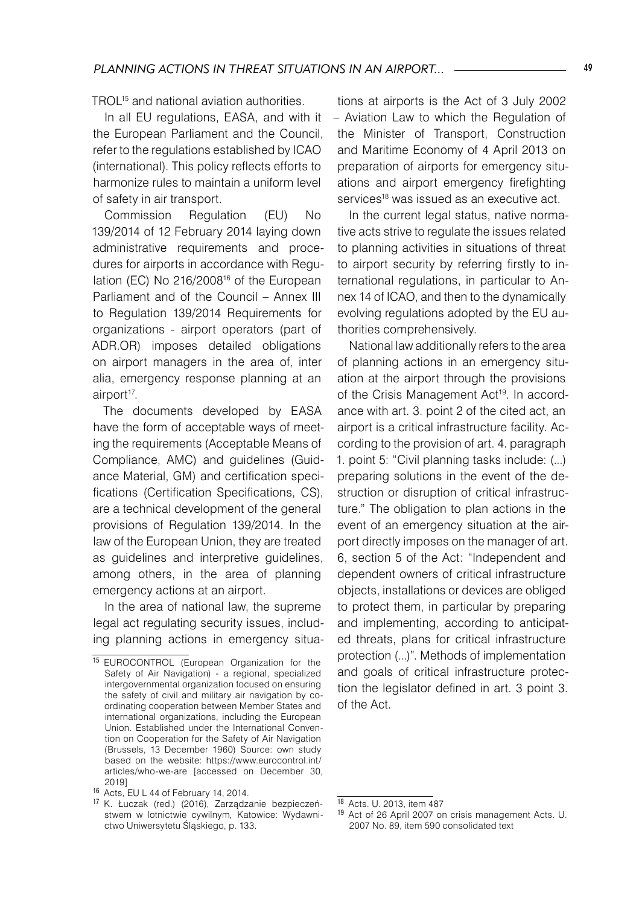TROL15 and national aviation authorities.

In all EU regulations, EASA, and with it the European Parliament and the Council, refer to the regulations established by ICAO (international). This policy reflects efforts to harmonize rules to maintain a uniform level of safety in air transport.

Commission Regulation (EU) No 139/2014 of 12 February 2014 laying down administrative requirements and procedures for airports in accordance with Regulation (EC) No 216/200816 of the European Parliament and of the Council – Annex III to Regulation 139/2014 Requirements for organizations - airport operators (part of ADR.OR) imposes detailed obligations on airport managers in the area of, inter alia, emergency response planning at an airport<sup>17</sup>.

The documents developed by EASA have the form of acceptable ways of meeting the requirements (Acceptable Means of Compliance, AMC) and guidelines (Guidance Material, GM) and certification specifications (Certification Specifications, CS), are a technical development of the general provisions of Regulation 139/2014. In the law of the European Union, they are treated as guidelines and interpretive guidelines, among others, in the area of planning emergency actions at an airport.

In the area of national law, the supreme legal act regulating security issues, including planning actions in emergency situa-

tions at airports is the Act of 3 July 2002 – Aviation Law to which the Regulation of the Minister of Transport, Construction and Maritime Economy of 4 April 2013 on preparation of airports for emergency situations and airport emergency firefighting services<sup>18</sup> was issued as an executive act.

In the current legal status, native normative acts strive to regulate the issues related to planning activities in situations of threat to airport security by referring firstly to international regulations, in particular to Annex 14 of ICAO, and then to the dynamically evolving regulations adopted by the EU authorities comprehensively.

National law additionally refers to the area of planning actions in an emergency situation at the airport through the provisions of the Crisis Management Act<sup>19</sup>. In accordance with art. 3. point 2 of the cited act, an airport is a critical infrastructure facility. According to the provision of art. 4. paragraph 1. point 5: "Civil planning tasks include: (...) preparing solutions in the event of the destruction or disruption of critical infrastructure." The obligation to plan actions in the event of an emergency situation at the airport directly imposes on the manager of art. 6, section 5 of the Act: "Independent and dependent owners of critical infrastructure objects, installations or devices are obliged to protect them, in particular by preparing and implementing, according to anticipated threats, plans for critical infrastructure protection (...)". Methods of implementation and goals of critical infrastructure protection the legislator defined in art. 3 point 3. of the Act.

<sup>15</sup> EUROCONTROL (European Organization for the Safety of Air Navigation) - a regional, specialized intergovernmental organization focused on ensuring the safety of civil and military air navigation by coordinating cooperation between Member States and international organizations, including the European Union. Established under the International Convention on Cooperation for the Safety of Air Navigation (Brussels, 13 December 1960) Source: own study based on the website: https://www.eurocontrol.int/ articles/who-we-are [accessed on December 30, 2019]

<sup>16</sup> Acts, EU L 44 of February 14, 2014.

<sup>17</sup> K. Łuczak (red.) (2016), Zarządzanie bezpieczeństwem w lotnictwie cywilnym*,* Katowice: Wydawnictwo Uniwersytetu Śląskiego, p. 133.

<sup>18</sup> Acts. U. 2013, item 487

<sup>19</sup> Act of 26 April 2007 on crisis management Acts. U. 2007 No. 89, item 590 consolidated text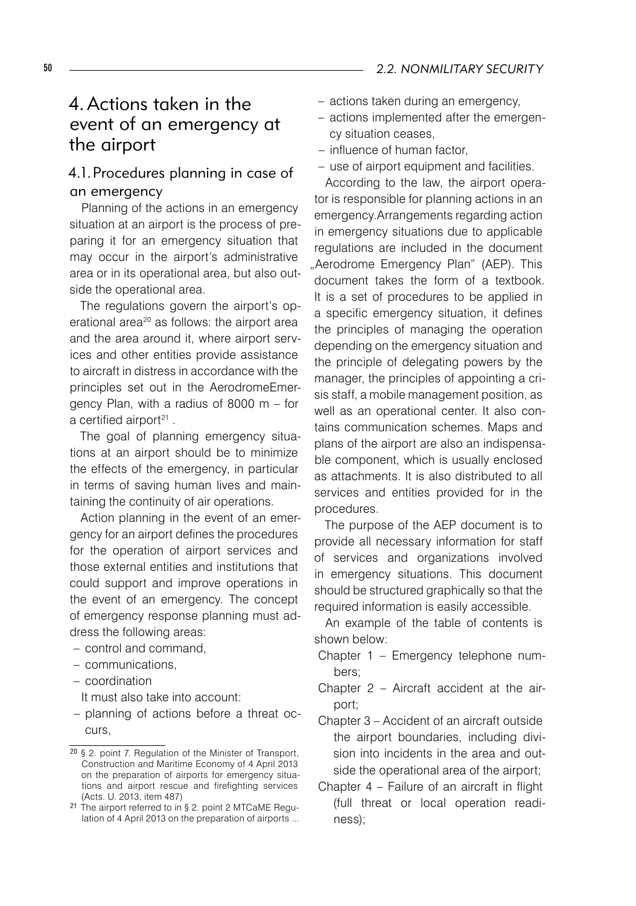# 4. Actions taken in the event of an emergency at the airport

# 4.1.Procedures planning in case of an emergency

Planning of the actions in an emergency situation at an airport is the process of preparing it for an emergency situation that may occur in the airport's administrative area or in its operational area, but also outside the operational area.

The regulations govern the airport's operational area<sup>20</sup> as follows: the airport area and the area around it, where airport services and other entities provide assistance to aircraft in distress in accordance with the principles set out in the AerodromeEmergency Plan, with a radius of 8000 m – for a certified airport<sup>21</sup>.

The goal of planning emergency situations at an airport should be to minimize the effects of the emergency, in particular in terms of saving human lives and maintaining the continuity of air operations.

Action planning in the event of an emergency for an airport defines the procedures for the operation of airport services and those external entities and institutions that could support and improve operations in the event of an emergency. The concept of emergency response planning must address the following areas:

- control and command,
- communications,
- coordination –
- It must also take into account:
- planning of actions before a threat occurs,
- actions taken during an emergency,
- actions implemented after the emergen-– cy situation ceases,
- influence of human factor, –
- $-$  use of airport equipment and facilities.

According to the law, the airport operator is responsible for planning actions in an emergency.Arrangements regarding action in emergency situations due to applicable regulations are included in the document "Aerodrome Emergency Plan" (AEP). This document takes the form of a textbook. It is a set of procedures to be applied in a specific emergency situation, it defines the principles of managing the operation depending on the emergency situation and the principle of delegating powers by the manager, the principles of appointing a crisis staff, a mobile management position, as well as an operational center. It also contains communication schemes. Maps and plans of the airport are also an indispensable component, which is usually enclosed as attachments. It is also distributed to all services and entities provided for in the procedures.

The purpose of the AEP document is to provide all necessary information for staff of services and organizations involved in emergency situations. This document should be structured graphically so that the required information is easily accessible.

An example of the table of contents is shown below:

- Chapter 1 Emergency telephone numbers;
- Chapter 2 Aircraft accident at the airport;
- Chapter 3 Accident of an aircraft outside the airport boundaries, including division into incidents in the area and outside the operational area of the airport;
- Chapter 4 Failure of an aircraft in flight (full threat or local operation readiness);

<sup>20</sup> § 2. point 7. Regulation of the Minister of Transport, Construction and Maritime Economy of 4 April 2013 on the preparation of airports for emergency situations and airport rescue and firefighting services (Acts. U. 2013, item 487)

<sup>21</sup> The airport referred to in § 2. point 2 MTCaME Regulation of 4 April 2013 on the preparation of airports ...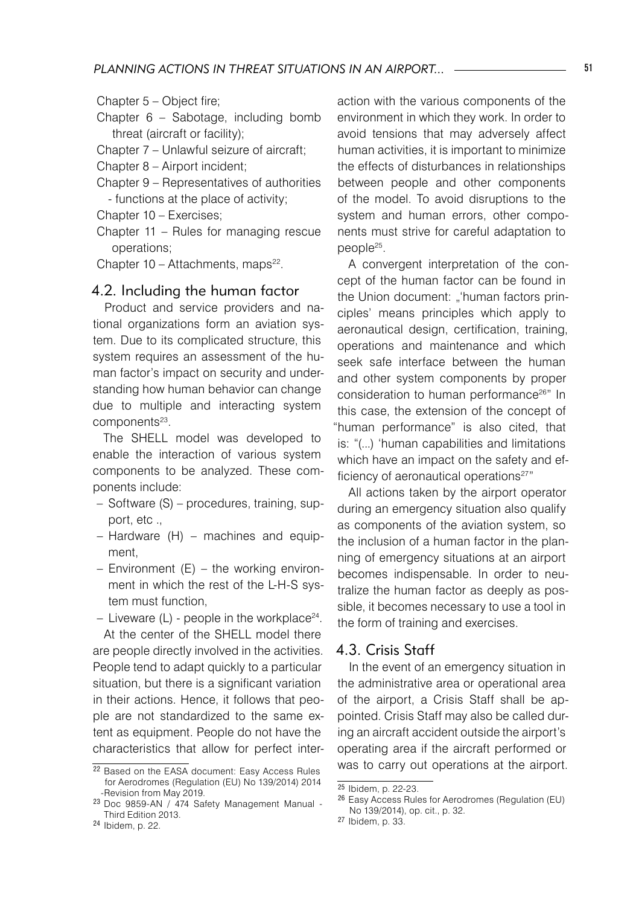- Chapter 6 Sabotage, including bomb threat (aircraft or facility);
- Chapter 7 Unlawful seizure of aircraft;
- Chapter 8 Airport incident;
- Chapter 9 Representatives of authorities - functions at the place of activity;
- Chapter 10 Exercises;
- Chapter 11 Rules for managing rescue operations;
- Chapter  $10 -$  Attachments, maps<sup>22</sup>.

#### 4.2. Including the human factor

Product and service providers and national organizations form an aviation system. Due to its complicated structure, this system requires an assessment of the human factor's impact on security and understanding how human behavior can change due to multiple and interacting system components<sup>23</sup>.

The SHELL model was developed to enable the interaction of various system components to be analyzed. These components include:

- Software (S) procedures, training, support, etc .,
- Hardware (H) machines and equipment,
- Environment (E) the working environ-– ment in which the rest of the L-H-S system must function,

- Liveware (L) - people in the workplace $^{24}\cdot$ 

At the center of the SHELL model there are people directly involved in the activities. People tend to adapt quickly to a particular situation, but there is a significant variation in their actions. Hence, it follows that people are not standardized to the same extent as equipment. People do not have the characteristics that allow for perfect interaction with the various components of the environment in which they work. In order to avoid tensions that may adversely affect human activities, it is important to minimize the effects of disturbances in relationships between people and other components of the model. To avoid disruptions to the system and human errors, other components must strive for careful adaptation to people25.

A convergent interpretation of the concept of the human factor can be found in the Union document: "'human factors principles' means principles which apply to aeronautical design, certification, training, operations and maintenance and which seek safe interface between the human and other system components by proper consideration to human performance26" In this case, the extension of the concept of 'human performance" is also cited, that is: "(...) 'human capabilities and limitations which have an impact on the safety and efficiency of aeronautical operations<sup>27"</sup>

All actions taken by the airport operator during an emergency situation also qualify as components of the aviation system, so the inclusion of a human factor in the planning of emergency situations at an airport becomes indispensable. In order to neutralize the human factor as deeply as possible, it becomes necessary to use a tool in the form of training and exercises.

#### 4.3. Crisis Staff

In the event of an emergency situation in the administrative area or operational area of the airport, a Crisis Staff shall be appointed. Crisis Staff may also be called during an aircraft accident outside the airport's operating area if the aircraft performed or was to carry out operations at the airport.

Chapter 5 – Object fire;

<sup>22</sup> Based on the EASA document: Easy Access Rules for Aerodromes (Regulation (EU) No 139/2014) 2014 -Revision from May 2019.

<sup>23</sup> Doc 9859-AN / 474 Safety Management Manual - Third Edition 2013.

<sup>24</sup> Ibidem, p. 22.

 $25$  Ibidem, p. 22-23.

<sup>26</sup> Easy Access Rules for Aerodromes (Regulation (EU) No 139/2014), op. cit., p. 32.

<sup>27</sup> Ibidem, p. 33.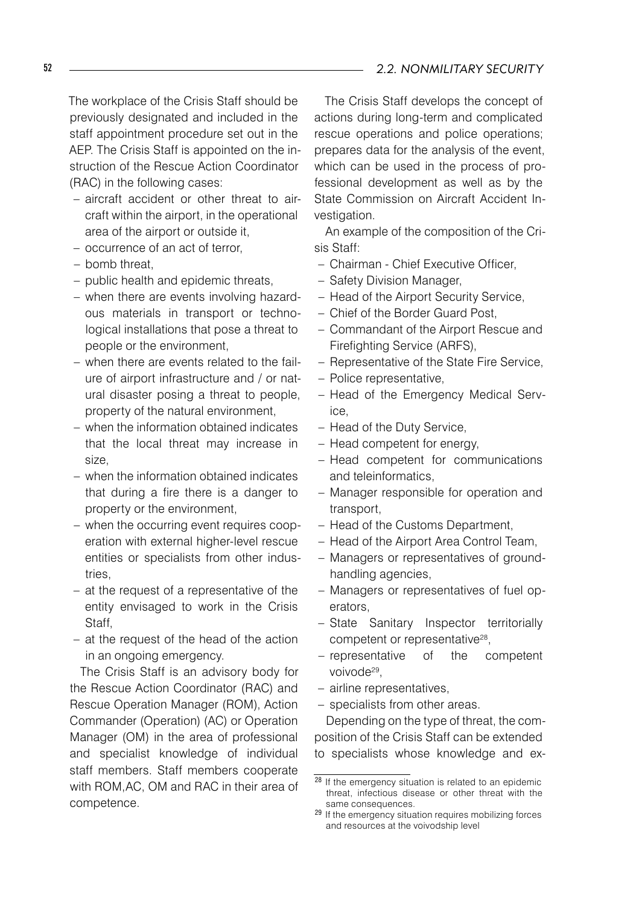The workplace of the Crisis Staff should be previously designated and included in the staff appointment procedure set out in the AEP. The Crisis Staff is appointed on the instruction of the Rescue Action Coordinator (RAC) in the following cases:

- aircraft accident or other threat to aircraft within the airport, in the operational area of the airport or outside it,
- occurrence of an act of terror,
- bomb threat, –
- public health and epidemic threats,
- when there are events involving hazardous materials in transport or technological installations that pose a threat to people or the environment,
- when there are events related to the fail-– ure of airport infrastructure and / or natural disaster posing a threat to people, property of the natural environment,
- when the information obtained indicates that the local threat may increase in size,
- when the information obtained indicates that during a fire there is a danger to property or the environment,
- when the occurring event requires coop-– eration with external higher-level rescue entities or specialists from other industries,
- at the request of a representative of the entity envisaged to work in the Crisis Staff,
- at the request of the head of the action in an ongoing emergency.

The Crisis Staff is an advisory body for the Rescue Action Coordinator (RAC) and Rescue Operation Manager (ROM), Action Commander (Operation) (AC) or Operation Manager (OM) in the area of professional and specialist knowledge of individual staff members. Staff members cooperate with ROM,AC, OM and RAC in their area of competence.

The Crisis Staff develops the concept of actions during long-term and complicated rescue operations and police operations; prepares data for the analysis of the event, which can be used in the process of professional development as well as by the State Commission on Aircraft Accident Investigation.

An example of the composition of the Crisis Staff:

- Chairman Chief Executive Officer, –
- Safety Division Manager,
- Head of the Airport Security Service,
- Chief of the Border Guard Post, –
- Commandant of the Airport Rescue and Firefighting Service (ARFS),
- Representative of the State Fire Service,
- Police representative,
- Head of the Emergency Medical Service,
- Head of the Duty Service,
- Head competent for energy,
- Head competent for communications and teleinformatics,
- Manager responsible for operation and transport,
- Head of the Customs Department,
- Head of the Airport Area Control Team,
- Managers or representatives of ground-– handling agencies,
- Managers or representatives of fuel op-– erators,
- State Sanitary Inspector territorially competent or representative<sup>28</sup>,
- representative of the competent voivode<sup>29</sup>.
- airline representatives, –
- specialists from other areas.

Depending on the type of threat, the composition of the Crisis Staff can be extended to specialists whose knowledge and ex-

<sup>28</sup> If the emergency situation is related to an epidemic threat, infectious disease or other threat with the same consequences.

<sup>29</sup> If the emergency situation requires mobilizing forces and resources at the voivodship level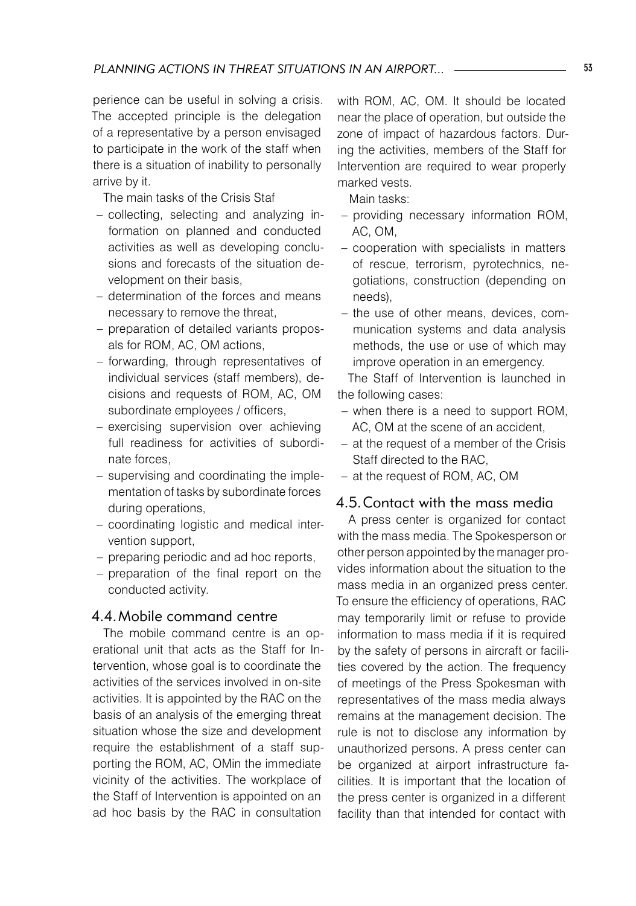perience can be useful in solving a crisis. The accepted principle is the delegation of a representative by a person envisaged to participate in the work of the staff when there is a situation of inability to personally arrive by it.

The main tasks of the Crisis Staf

- collecting, selecting and analyzing information on planned and conducted activities as well as developing conclusions and forecasts of the situation development on their basis,
- determination of the forces and means necessary to remove the threat,
- preparation of detailed variants proposals for ROM, AC, OM actions,
- forwarding, through representatives of individual services (staff members), decisions and requests of ROM, AC, OM subordinate employees / officers,
- exercising supervision over achieving full readiness for activities of subordinate forces,
- supervising and coordinating the implementation of tasks by subordinate forces during operations,
- coordinating logistic and medical inter-– vention support,
- preparing periodic and ad hoc reports,
- preparation of the final report on the conducted activity.

#### 4.4.Mobile command centre

The mobile command centre is an operational unit that acts as the Staff for Intervention, whose goal is to coordinate the activities of the services involved in on-site activities. It is appointed by the RAC on the basis of an analysis of the emerging threat situation whose the size and development require the establishment of a staff supporting the ROM, AC, OMin the immediate vicinity of the activities. The workplace of the Staff of Intervention is appointed on an ad hoc basis by the RAC in consultation

with ROM, AC, OM. It should be located near the place of operation, but outside the zone of impact of hazardous factors. During the activities, members of the Staff for Intervention are required to wear properly marked vests.

Main tasks:

- providing necessary information ROM, AC, OM,
- cooperation with specialists in matters of rescue, terrorism, pyrotechnics, negotiations, construction (depending on needs),
- the use of other means, devices, communication systems and data analysis methods, the use or use of which may improve operation in an emergency.

The Staff of Intervention is launched in the following cases:

- when there is a need to support ROM, AC, OM at the scene of an accident,
- at the request of a member of the Crisis Staff directed to the RAC,
- at the request of ROM, AC, OM

#### 4.5.Contact with the mass media

A press center is organized for contact with the mass media. The Spokesperson or other person appointed by the manager provides information about the situation to the mass media in an organized press center. To ensure the efficiency of operations, RAC may temporarily limit or refuse to provide information to mass media if it is required by the safety of persons in aircraft or facilities covered by the action. The frequency of meetings of the Press Spokesman with representatives of the mass media always remains at the management decision. The rule is not to disclose any information by unauthorized persons. A press center can be organized at airport infrastructure facilities. It is important that the location of the press center is organized in a different facility than that intended for contact with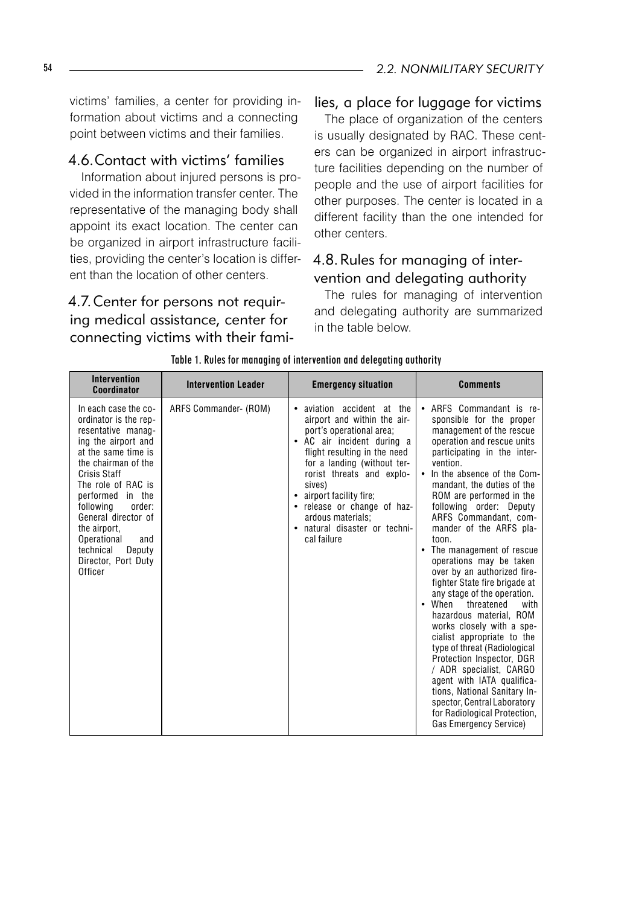victims' families, a center for providing information about victims and a connecting point between victims and their families.

## 4.6.Contact with victims' families

Information about injured persons is provided in the information transfer center. The representative of the managing body shall appoint its exact location. The center can be organized in airport infrastructure facilities, providing the center's location is different than the location of other centers.

4.7.Center for persons not requiring medical assistance, center for connecting victims with their fami-

#### lies, a place for luggage for victims

The place of organization of the centers is usually designated by RAC. These centers can be organized in airport infrastructure facilities depending on the number of people and the use of airport facilities for other purposes. The center is located in a different facility than the one intended for other centers.

#### 4.8.Rules for managing of intervention and delegating authority

The rules for managing of intervention and delegating authority are summarized in the table below.

| <b>Intervention</b><br>Coordinator                                                                                                                                                                                                                                                                                                              | <b>Intervention Leader</b> | <b>Emergency situation</b>                                                                                                                                                                                                                                                                                                                                | <b>Comments</b>                                                                                                                                                                                                                                                                                                                                                                                                                                                                                                                                                                                                                                                                                                                                                                                                                                                          |
|-------------------------------------------------------------------------------------------------------------------------------------------------------------------------------------------------------------------------------------------------------------------------------------------------------------------------------------------------|----------------------------|-----------------------------------------------------------------------------------------------------------------------------------------------------------------------------------------------------------------------------------------------------------------------------------------------------------------------------------------------------------|--------------------------------------------------------------------------------------------------------------------------------------------------------------------------------------------------------------------------------------------------------------------------------------------------------------------------------------------------------------------------------------------------------------------------------------------------------------------------------------------------------------------------------------------------------------------------------------------------------------------------------------------------------------------------------------------------------------------------------------------------------------------------------------------------------------------------------------------------------------------------|
| In each case the co-<br>ordinator is the rep-<br>resentative manag-<br>ing the airport and<br>at the same time is<br>the chairman of the<br>Crisis Staff<br>The role of RAC is<br>performed in the<br>following<br>order:<br>General director of<br>the airport,<br>Operational<br>and<br>technical<br>Deputy<br>Director, Port Duty<br>Officer | ARFS Commander- (ROM)      | • aviation accident at the<br>airport and within the air-<br>port's operational area;<br>• AC air incident during a<br>flight resulting in the need<br>for a landing (without ter-<br>rorist threats and explo-<br>sives)<br>• airport facility fire;<br>• release or change of haz-<br>ardous materials:<br>• natural disaster or techni-<br>cal failure | • ARFS Commandant is re-<br>sponsible for the proper<br>management of the rescue<br>operation and rescue units<br>participating in the inter-<br>vention.<br>• In the absence of the Com-<br>mandant, the duties of the<br>ROM are performed in the<br>following order: Deputy<br>ARFS Commandant, com-<br>mander of the ARFS pla-<br>toon.<br>• The management of rescue<br>operations may be taken<br>over by an authorized fire-<br>fighter State fire brigade at<br>any stage of the operation.<br>• When<br>threatened<br>with<br>hazardous material, ROM<br>works closely with a spe-<br>cialist appropriate to the<br>type of threat (Radiological<br>Protection Inspector, DGR<br>/ ADR specialist, CARGO<br>agent with IATA qualifica-<br>tions. National Sanitary In-<br>spector, Central Laboratory<br>for Radiological Protection,<br>Gas Emergency Service) |

Table 1. Rules for managing of intervention and delegating authority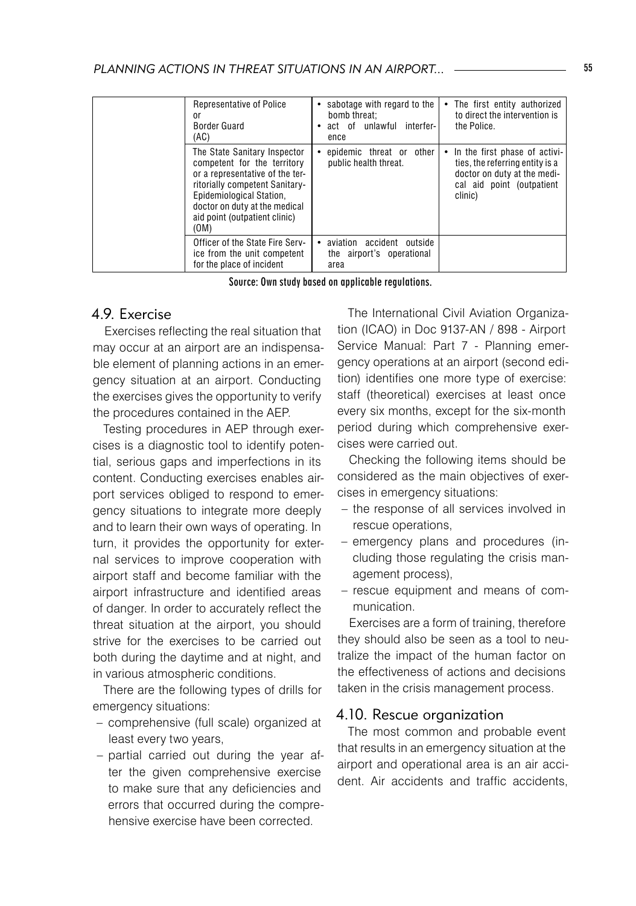|  | Representative of Police<br><sub>0r</sub><br>Border Guard<br>(AC)                                                                                                                                                                      | • sabotage with regard to the<br>bomb threat:<br>• act of unlawful interfer-<br>ence | • The first entity authorized<br>to direct the intervention is<br>the Police.                                                             |
|--|----------------------------------------------------------------------------------------------------------------------------------------------------------------------------------------------------------------------------------------|--------------------------------------------------------------------------------------|-------------------------------------------------------------------------------------------------------------------------------------------|
|  | The State Sanitary Inspector<br>competent for the territory<br>or a representative of the ter-<br>ritorially competent Sanitary-<br>Epidemiological Station.<br>doctor on duty at the medical<br>aid point (outpatient clinic)<br>(OM) | epidemic threat or other<br>public health threat.                                    | • In the first phase of activi-<br>ties, the referring entity is a<br>doctor on duty at the medi-<br>cal aid point (outpatient<br>clinic) |
|  | Officer of the State Fire Serv-<br>ice from the unit competent<br>for the place of incident                                                                                                                                            | aviation accident outside<br>the airport's operational<br>area                       |                                                                                                                                           |

Source: Own study based on applicable regulations.

## 4.9. Exercise

Exercises reflecting the real situation that may occur at an airport are an indispensable element of planning actions in an emergency situation at an airport. Conducting the exercises gives the opportunity to verify the procedures contained in the AEP.

Testing procedures in AEP through exercises is a diagnostic tool to identify potential, serious gaps and imperfections in its content. Conducting exercises enables airport services obliged to respond to emergency situations to integrate more deeply and to learn their own ways of operating. In turn, it provides the opportunity for external services to improve cooperation with airport staff and become familiar with the airport infrastructure and identified areas of danger. In order to accurately reflect the threat situation at the airport, you should strive for the exercises to be carried out both during the daytime and at night, and in various atmospheric conditions.

There are the following types of drills for emergency situations:

- comprehensive (full scale) organized at least every two years,
- partial carried out during the year after the given comprehensive exercise to make sure that any deficiencies and errors that occurred during the comprehensive exercise have been corrected.

The International Civil Aviation Organization (ICAO) in Doc 9137-AN / 898 - Airport Service Manual: Part 7 - Planning emergency operations at an airport (second edition) identifies one more type of exercise: staff (theoretical) exercises at least once every six months, except for the six-month period during which comprehensive exercises were carried out.

Checking the following items should be considered as the main objectives of exercises in emergency situations:

- the response of all services involved in rescue operations,
- emergency plans and procedures (including those regulating the crisis management process),
- rescue equipment and means of communication.

Exercises are a form of training, therefore they should also be seen as a tool to neutralize the impact of the human factor on the effectiveness of actions and decisions taken in the crisis management process.

#### 4.10. Rescue organization

The most common and probable event that results in an emergency situation at the airport and operational area is an air accident. Air accidents and traffic accidents,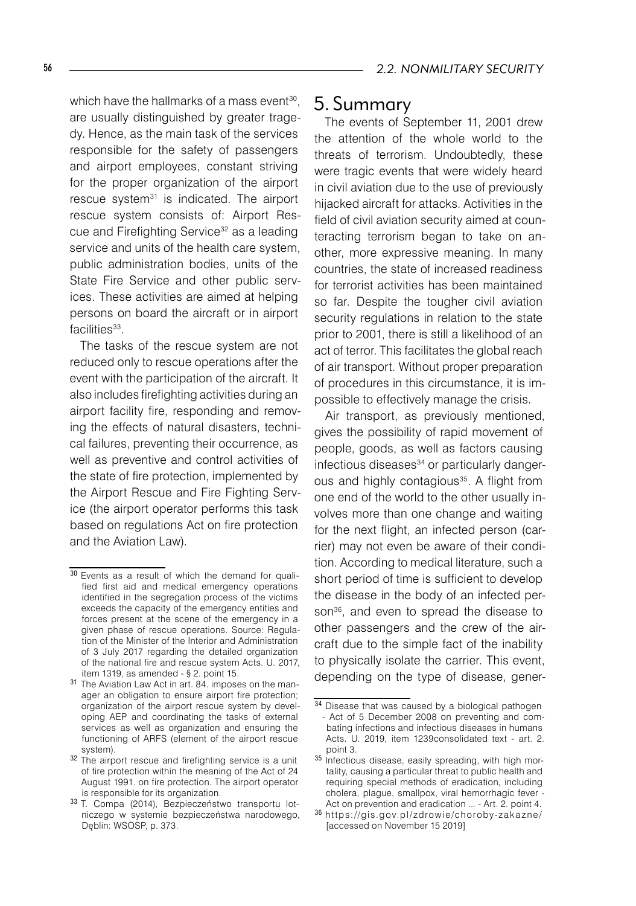which have the hallmarks of a mass event $^{\rm 30},$ are usually distinguished by greater tragedy. Hence, as the main task of the services responsible for the safety of passengers and airport employees, constant striving for the proper organization of the airport rescue system<sup>31</sup> is indicated. The airport rescue system consists of: Airport Rescue and Firefighting Service<sup>32</sup> as a leading service and units of the health care system, public administration bodies, units of the State Fire Service and other public services. These activities are aimed at helping persons on board the aircraft or in airport facilities<sup>33</sup>.

The tasks of the rescue system are not reduced only to rescue operations after the event with the participation of the aircraft. It also includes firefighting activities during an airport facility fire, responding and removing the effects of natural disasters, technical failures, preventing their occurrence, as well as preventive and control activities of the state of fire protection, implemented by the Airport Rescue and Fire Fighting Service (the airport operator performs this task based on regulations Act on fire protection and the Aviation Law).

# 5. Summary

The events of September 11, 2001 drew the attention of the whole world to the threats of terrorism. Undoubtedly, these were tragic events that were widely heard in civil aviation due to the use of previously hijacked aircraft for attacks. Activities in the field of civil aviation security aimed at counteracting terrorism began to take on another, more expressive meaning. In many countries, the state of increased readiness for terrorist activities has been maintained so far. Despite the tougher civil aviation security regulations in relation to the state prior to 2001, there is still a likelihood of an act of terror. This facilitates the global reach of air transport. Without proper preparation of procedures in this circumstance, it is impossible to effectively manage the crisis.

Air transport, as previously mentioned, gives the possibility of rapid movement of people, goods, as well as factors causing infectious diseases<sup>34</sup> or particularly dangerous and highly contagious<sup>35</sup>. A flight from one end of the world to the other usually involves more than one change and waiting for the next flight, an infected person (carrier) may not even be aware of their condition. According to medical literature, such a short period of time is sufficient to develop the disease in the body of an infected person<sup>36</sup>, and even to spread the disease to other passengers and the crew of the aircraft due to the simple fact of the inability to physically isolate the carrier. This event, depending on the type of disease, gener-

<sup>30</sup> Events as a result of which the demand for qualified first aid and medical emergency operations identified in the segregation process of the victims exceeds the capacity of the emergency entities and forces present at the scene of the emergency in a given phase of rescue operations. Source: Regulation of the Minister of the Interior and Administration of 3 July 2017 regarding the detailed organization of the national fire and rescue system Acts. U. 2017, item 1319, as amended - § 2. point 15.

<sup>31</sup> The Aviation Law Act in art. 84. imposes on the manager an obligation to ensure airport fire protection; organization of the airport rescue system by developing AEP and coordinating the tasks of external services as well as organization and ensuring the functioning of ARFS (element of the airport rescue system).

<sup>&</sup>lt;sup>32</sup> The airport rescue and firefighting service is a unit of fire protection within the meaning of the Act of 24 August 1991. on fire protection. The airport operator is responsible for its organization.

<sup>33</sup> T. Compa (2014), Bezpieczeństwo transportu lotniczego w systemie bezpieczeństwa narodowego, Dęblin: WSOSP, p. 373.

<sup>34</sup> Disease that was caused by a biological pathogen - Act of 5 December 2008 on preventing and combating infections and infectious diseases in humans Acts. U. 2019, item 1239consolidated text - art. 2. point 3.

<sup>&</sup>lt;sup>35</sup> Infectious disease, easily spreading, with high mortality, causing a particular threat to public health and requiring special methods of eradication, including cholera, plague, smallpox, viral hemorrhagic fever - Act on prevention and eradication ... - Art. 2. point 4.

<sup>36</sup> ht tps://gis.gov.pl/zdrowie/choroby-zaka zne/ [accessed on November 15 2019]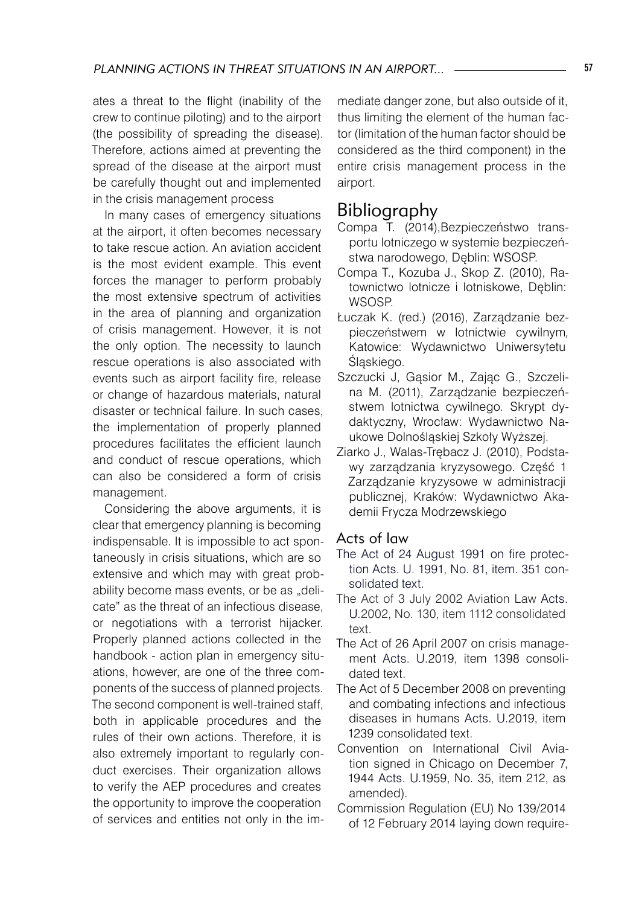ates a threat to the flight (inability of the crew to continue piloting) and to the airport (the possibility of spreading the disease). Therefore, actions aimed at preventing the spread of the disease at the airport must be carefully thought out and implemented in the crisis management process

In many cases of emergency situations at the airport, it often becomes necessary to take rescue action. An aviation accident is the most evident example. This event forces the manager to perform probably the most extensive spectrum of activities in the area of planning and organization of crisis management. However, it is not the only option. The necessity to launch rescue operations is also associated with events such as airport facility fire, release or change of hazardous materials, natural disaster or technical failure. In such cases, the implementation of properly planned procedures facilitates the efficient launch and conduct of rescue operations, which can also be considered a form of crisis management.

Considering the above arguments, it is clear that emergency planning is becoming indispensable. It is impossible to act spontaneously in crisis situations, which are so extensive and which may with great probability become mass events, or be as "delicate" as the threat of an infectious disease, or negotiations with a terrorist hijacker. Properly planned actions collected in the handbook - action plan in emergency situations, however, are one of the three components of the success of planned projects. The second component is well-trained staff, both in applicable procedures and the rules of their own actions. Therefore, it is also extremely important to regularly conduct exercises. Their organization allows to verify the AEP procedures and creates the opportunity to improve the cooperation of services and entities not only in the immediate danger zone, but also outside of it, thus limiting the element of the human factor (limitation of the human factor should be considered as the third component) in the entire crisis management process in the airport.

# Bibliography

- Compa T. (2014),Bezpieczeństwo transportu lotniczego w systemie bezpieczeństwa narodowego, Dęblin: WSOSP.
- Compa T., Kozuba J., Skop Z. (2010), Ratownictwo lotnicze i lotniskowe, Dęblin: WSOSP.
- Łuczak K. (red.) (2016), Zarządzanie bezpieczeństwem w lotnictwie cywilnym*,*  Katowice: Wydawnictwo Uniwersytetu Śląskiego.
- Szczucki J, Gąsior M., Zając G., Szczelina M. (2011), Zarządzanie bezpieczeństwem lotnictwa cywilnego. Skrypt dydaktyczny, Wrocław: Wydawnictwo Naukowe Dolnośląskiej Szkoły Wyższej.
- Ziarko J., Walas-Trębacz J. (2010), Podstawy zarządzania kryzysowego. Część 1 Zarządzanie kryzysowe w administracji publicznej, Kraków: Wydawnictwo Akademii Frycza Modrzewskiego

#### Acts of law

- The Act of 24 August 1991 on fire protection Acts. U. 1991, No. 81, item. 351 consolidated text.
- The Act of 3 July 2002 Aviation Law Acts. U.2002, No. 130, item 1112 consolidated text.
- The Act of 26 April 2007 on crisis management Acts. U.2019, item 1398 consolidated text.
- The Act of 5 December 2008 on preventing and combating infections and infectious diseases in humans Acts. U.2019, item 1239 consolidated text.
- Convention on International Civil Aviation signed in Chicago on December 7, 1944 Acts. U.1959, No. 35, item 212, as amended).
- Commission Regulation (EU) No 139/2014 of 12 February 2014 laying down require-